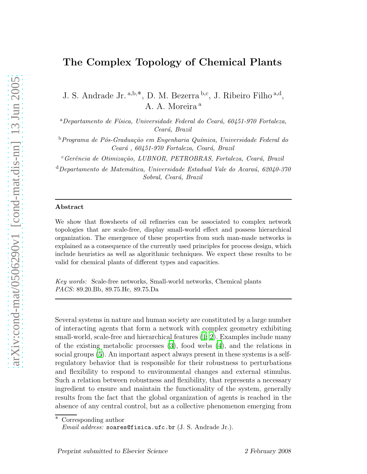## The Complex Topology of Chemical Plants

J. S. Andrade Jr. a,b,<sup>\*</sup>, D. M. Bezerra b,c, J. Ribeiro Filho a,d, A. A. Moreira<sup>a</sup>

 $a$ Departamento de Física, Universidade Federal do Ceará, 60451-970 Fortaleza, Ceará, Brazil

 $b$ Programa de Pós-Graduação em Engenharia Química, Universidade Federal do Ceará, 60451-970 Fortaleza, Ceará, Brazil

<sup>c</sup>Gerência de Otimização, LUBNOR, PETROBRAS, Fortaleza, Ceará, Brazil

 $d$ Departamento de Matemática, Universidade Estadual Vale do Acaraú, 62040-370 Sobral, Ceará, Brazil

## Abstract

We show that flowsheets of oil refineries can be associated to complex network topologies that are scale-free, display small-world effect and possess hierarchical organization. The emergence of these properties from such man-made networks is explained as a consequence of the currently used principles for process design, which include heuristics as well as algorithmic techniques. We expect these results to be valid for chemical plants of different types and capacities.

Key words: Scale-free networks, Small-world networks, Chemical plants PACS: 89.20.Bb, 89.75.Hc, 89.75.Da

Several systems in nature and human society are constituted by a large number of interacting agents that form a network with complex geometry exhibiting small-world, scale-free and hierarchical features [\(1;](#page-6-0) [2\)](#page-6-1). Examples include many of the existing metabolic processes [\(3](#page-6-2)), food webs [\(4\)](#page-6-3), and the relations in social groups [\(5\)](#page-6-4). An important aspect always present in these systems is a selfregulatory behavior that is responsible for their robustness to perturbations and flexibility to respond to environmental changes and external stimulus. Such a relation between robustness and flexibility, that represents a necessary ingredient to ensure and maintain the functionality of the system, generally results from the fact that the global organization of agents is reached in the absence of any central control, but as a collective phenomenon emerging from

Corresponding author

*Email address:* soares@fisica.ufc.br (J. S. Andrade Jr.).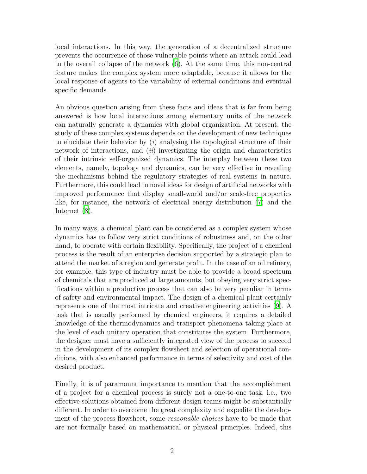local interactions. In this way, the generation of a decentralized structure prevents the occurrence of those vulnerable points where an attack could lead to the overall collapse of the network [\(6](#page-6-5)). At the same time, this non-central feature makes the complex system more adaptable, because it allows for the local response of agents to the variability of external conditions and eventual specific demands.

An obvious question arising from these facts and ideas that is far from being answered is how local interactions among elementary units of the network can naturally generate a dynamics with global organization. At present, the study of these complex systems depends on the development of new techniques to elucidate their behavior by  $(i)$  analysing the topological structure of their network of interactions, and  $(ii)$  investigating the origin and characteristics of their intrinsic self-organized dynamics. The interplay between these two elements, namely, topology and dynamics, can be very effective in revealing the mechanisms behind the regulatory strategies of real systems in nature. Furthermore, this could lead to novel ideas for design of artificial networks with improved performance that display small-world and/or scale-free properties like, for instance, the network of electrical energy distribution [\(7\)](#page-6-6) and the Internet [\(8](#page-6-7)).

In many ways, a chemical plant can be considered as a complex system whose dynamics has to follow very strict conditions of robustness and, on the other hand, to operate with certain flexibility. Specifically, the project of a chemical process is the result of an enterprise decision supported by a strategic plan to attend the market of a region and generate profit. In the case of an oil refinery, for example, this type of industry must be able to provide a broad spectrum of chemicals that are produced at large amounts, but obeying very strict specifications within a productive process that can also be very peculiar in terms of safety and environmental impact. The design of a chemical plant certainly represents one of the most intricate and creative engineering activities [\(9\)](#page-6-8). A task that is usually performed by chemical engineers, it requires a detailed knowledge of the thermodynamics and transport phenomena taking place at the level of each unitary operation that constitutes the system. Furthermore, the designer must have a sufficiently integrated view of the process to succeed in the development of its complex flowsheet and selection of operational conditions, with also enhanced performance in terms of selectivity and cost of the desired product.

Finally, it is of paramount importance to mention that the accomplishment of a project for a chemical process is surely not a one-to-one task, i.e., two effective solutions obtained from different design teams might be substantially different. In order to overcome the great complexity and expedite the development of the process flowsheet, some reasonable choices have to be made that are not formally based on mathematical or physical principles. Indeed, this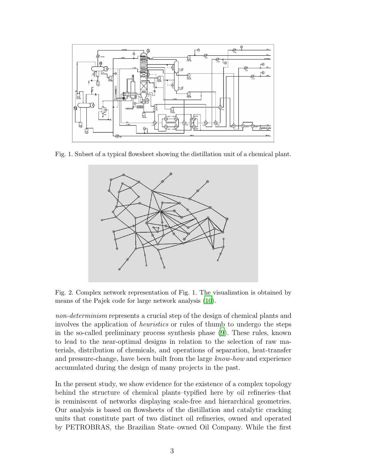

Fig. 1. Subset of a typical flowsheet showing the distillation unit of a chemical plant.



Fig. 2. Complex network representation of Fig. 1. The visualization is obtained by means of the Pajek code for large network analysis [\(10](#page-6-9)).

non-determinism represents a crucial step of the design of chemical plants and involves the application of heuristics or rules of thumb to undergo the steps in the so-called preliminary process synthesis phase [\(9](#page-6-8)). These rules, known to lead to the near-optimal designs in relation to the selection of raw materials, distribution of chemicals, and operations of separation, heat-transfer and pressure-change, have been built from the large know-how and experience accumulated during the design of many projects in the past.

In the present study, we show evidence for the existence of a complex topology behind the structure of chemical plants–typified here by oil refineries–that is reminiscent of networks displaying scale-free and hierarchical geometries. Our analysis is based on flowsheets of the distillation and catalytic cracking units that constitute part of two distinct oil refineries, owned and operated by PETROBRAS, the Brazilian State–owned Oil Company. While the first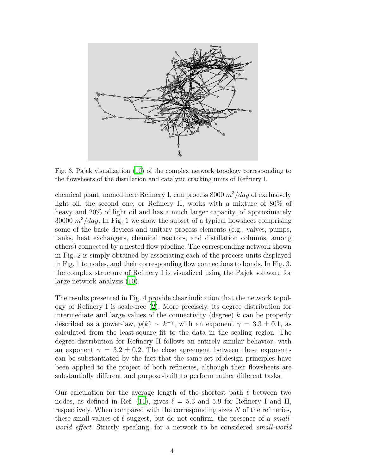

Fig. 3. Pajek visualization [\(10\)](#page-6-9) of the complex network topology corresponding to the flowsheets of the distillation and catalytic cracking units of Refinery I.

chemical plant, named here Refinery I, can process 8000  $m^3/day$  of exclusively light oil, the second one, or Refinery II, works with a mixture of 80% of heavy and 20% of light oil and has a much larger capacity, of approximately 30000  $m^3/day$ . In Fig. 1 we show the subset of a typical flowsheet comprising some of the basic devices and unitary process elements (e.g., valves, pumps, tanks, heat exchangers, chemical reactors, and distillation columns, among others) connected by a nested flow pipeline. The corresponding network shown in Fig. 2 is simply obtained by associating each of the process units displayed in Fig. 1 to nodes, and their corresponding flow connections to bonds. In Fig. 3, the complex structure of Refinery I is visualized using the Pajek software for large network analysis [\(10](#page-6-9)).

The results presented in Fig. 4 provide clear indication that the network topology of Refinery I is scale-free [\(2](#page-6-1)). More precisely, its degree distribution for intermediate and large values of the connectivity (degree)  $k$  can be properly described as a power-law,  $p(k) \sim k^{-\gamma}$ , with an exponent  $\gamma = 3.3 \pm 0.1$ , as calculated from the least-square fit to the data in the scaling region. The degree distribution for Refinery II follows an entirely similar behavior, with an exponent  $\gamma = 3.2 \pm 0.2$ . The close agreement between these exponents can be substantiated by the fact that the same set of design principles have been applied to the project of both refineries, although their flowsheets are substantially different and purpose-built to perform rather different tasks.

Our calculation for the average length of the shortest path  $\ell$  between two nodes, as defined in Ref. [\(11](#page-6-10)), gives  $\ell = 5.3$  and 5.9 for Refinery I and II, respectively. When compared with the corresponding sizes N of the refineries, these small values of  $\ell$  suggest, but do not confirm, the presence of a *small*world effect. Strictly speaking, for a network to be considered small-world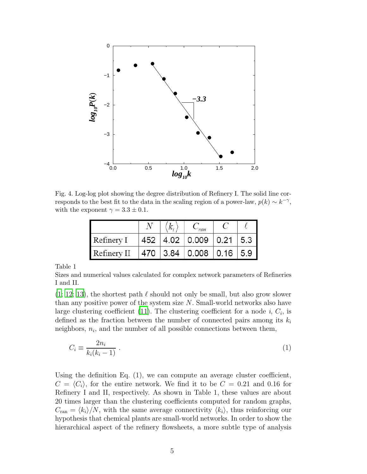

Fig. 4. Log-log plot showing the degree distribution of Refinery I. The solid line corresponds to the best fit to the data in the scaling region of a power-law,  $p(k) \sim k^{-\gamma}$ , with the exponent  $\gamma = 3.3 \pm 0.1$ .

| Refinery I  |  | 452 4.02 0.009 0.21 5.3 |  |
|-------------|--|-------------------------|--|
| Refinery II |  | 470 3.84 0.008 0.16 5.9 |  |

Table 1

Sizes and numerical values calculated for complex network parameters of Refineries I and II.

 $(1; 12; 13)$  $(1; 12; 13)$  $(1; 12; 13)$  $(1; 12; 13)$ , the shortest path  $\ell$  should not only be small, but also grow slower than any positive power of the system size  $N$ . Small-world networks also have large clustering coefficient [\(11\)](#page-6-10). The clustering coefficient for a node  $i, C_i$ , is defined as the fraction between the number of connected pairs among its  $k_i$ neighbors,  $n_i$ , and the number of all possible connections between them,

$$
C_i \equiv \frac{2n_i}{k_i(k_i - 1)} \tag{1}
$$

Using the definition Eq.  $(1)$ , we can compute an average cluster coefficient,  $C = \langle C_i \rangle$ , for the entire network. We find it to be  $C = 0.21$  and 0.16 for Refinery I and II, respectively. As shown in Table 1, these values are about 20 times larger than the clustering coefficients computed for random graphs,  $C_{\text{ran}} = \langle k_i \rangle/N$ , with the same average connectivity  $\langle k_i \rangle$ , thus reinforcing our hypothesis that chemical plants are small-world networks. In order to show the hierarchical aspect of the refinery flowsheets, a more subtle type of analysis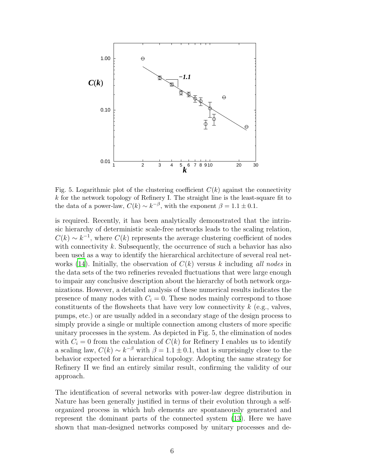

Fig. 5. Logarithmic plot of the clustering coefficient  $C(k)$  against the connectivity  $k$  for the network topology of Refinery I. The straight line is the least-square fit to the data of a power-law,  $C(k) \sim k^{-\beta}$ , with the exponent  $\beta = 1.1 \pm 0.1$ .

is required. Recently, it has been analytically demonstrated that the intrinsic hierarchy of deterministic scale-free networks leads to the scaling relation,  $C(k) \sim k^{-1}$ , where  $C(k)$  represents the average clustering coefficient of nodes with connectivity  $k$ . Subsequently, the occurrence of such a behavior has also been used as a way to identify the hierarchical architecture of several real net-works [\(14](#page-6-13)). Initially, the observation of  $C(k)$  versus k including all nodes in the data sets of the two refineries revealed fluctuations that were large enough to impair any conclusive description about the hierarchy of both network organizations. However, a detailed analysis of these numerical results indicates the presence of many nodes with  $C_i = 0$ . These nodes mainly correspond to those constituents of the flowsheets that have very low connectivity  $k$  (e.g., valves, pumps, etc.) or are usually added in a secondary stage of the design process to simply provide a single or multiple connection among clusters of more specific unitary processes in the system. As depicted in Fig. 5, the elimination of nodes with  $C_i = 0$  from the calculation of  $C(k)$  for Refinery I enables us to identify a scaling law,  $C(k) \sim k^{-\beta}$  with  $\beta = 1.1 \pm 0.1$ , that is surprisingly close to the behavior expected for a hierarchical topology. Adopting the same strategy for Refinery II we find an entirely similar result, confirming the validity of our approach.

The identification of several networks with power-law degree distribution in Nature has been generally justified in terms of their evolution through a selforganized process in which hub elements are spontaneously generated and represent the dominant parts of the connected system [\(13\)](#page-6-12). Here we have shown that man-designed networks composed by unitary processes and de